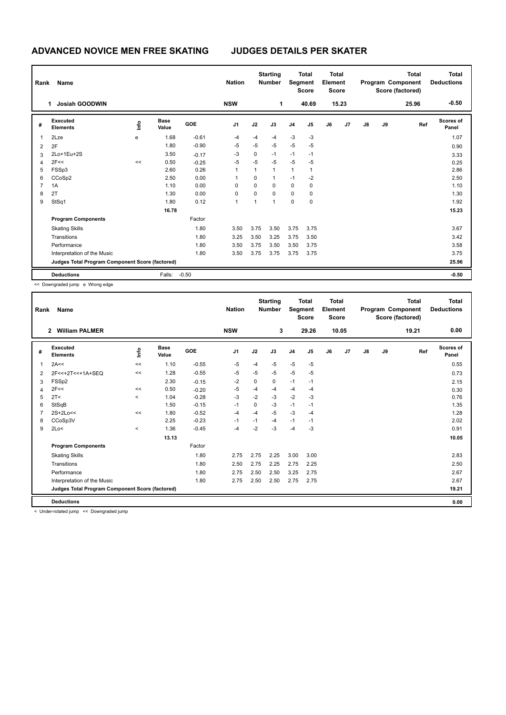## **ADVANCED NOVICE MEN FREE SKATING JUDGES DETAILS PER SKATER**

| Rank<br>Name                                    |                             |      |                      |            | <b>Starting</b><br><b>Nation</b><br><b>Number</b> |          | <b>Total</b><br>Segment<br><b>Score</b> |                | <b>Total</b><br>Element<br><b>Score</b> |    |       |       | <b>Total</b><br>Program Component<br>Score (factored) | <b>Total</b><br><b>Deductions</b> |                           |
|-------------------------------------------------|-----------------------------|------|----------------------|------------|---------------------------------------------------|----------|-----------------------------------------|----------------|-----------------------------------------|----|-------|-------|-------------------------------------------------------|-----------------------------------|---------------------------|
|                                                 | <b>Josiah GOODWIN</b><br>1  |      |                      |            | <b>NSW</b>                                        |          | 1                                       |                | 40.69                                   |    | 15.23 |       |                                                       | 25.96                             | $-0.50$                   |
| #                                               | Executed<br><b>Elements</b> | lnfo | <b>Base</b><br>Value | <b>GOE</b> | J <sub>1</sub>                                    | J2       | J3                                      | J <sub>4</sub> | J5                                      | J6 | J7    | J8    | J9                                                    | Ref                               | <b>Scores of</b><br>Panel |
| 1                                               | 2Lze                        | e    | 1.68                 | $-0.61$    | $-4$                                              | -4       | $-4$                                    | $-3$           | $-3$                                    |    |       |       |                                                       |                                   | 1.07                      |
| 2                                               | 2F                          |      | 1.80                 | $-0.90$    | $-5$                                              | -5       | $-5$                                    | $-5$           | $-5$                                    |    |       |       |                                                       |                                   | 0.90                      |
| 3                                               | 2Lo+1Eu+2S                  |      | 3.50                 | $-0.17$    | $-3$                                              | 0        | $-1$                                    | $-1$           | $-1$                                    |    |       |       |                                                       |                                   | 3.33                      |
| 4                                               | 2F<<                        | <<   | 0.50                 | $-0.25$    | -5                                                | -5       | $-5$                                    | $-5$           | $-5$                                    |    |       |       |                                                       |                                   | 0.25                      |
| 5                                               | FSSp3                       |      | 2.60                 | 0.26       | 1                                                 | 1        | $\overline{1}$                          | $\mathbf{1}$   | 1                                       |    |       |       |                                                       |                                   | 2.86                      |
| 6                                               | CCoSp2                      |      | 2.50                 | 0.00       |                                                   | $\Omega$ | $\mathbf{1}$                            | $-1$           | $-2$                                    |    |       |       |                                                       |                                   | 2.50                      |
| 7                                               | 1A                          |      | 1.10                 | 0.00       | 0                                                 | 0        | 0                                       | $\mathbf 0$    | 0                                       |    |       |       |                                                       |                                   | 1.10                      |
| 8                                               | 2T                          |      | 1.30                 | 0.00       | 0                                                 | 0        | $\Omega$                                | 0              | 0                                       |    |       |       |                                                       |                                   | 1.30                      |
| 9                                               | StSq1                       |      | 1.80                 | 0.12       | 1                                                 | 1        | $\overline{1}$                          | $\mathbf 0$    | 0                                       |    |       |       |                                                       |                                   | 1.92                      |
|                                                 |                             |      | 16.78                |            |                                                   |          |                                         |                |                                         |    |       |       |                                                       |                                   | 15.23                     |
|                                                 | <b>Program Components</b>   |      |                      | Factor     |                                                   |          |                                         |                |                                         |    |       |       |                                                       |                                   |                           |
|                                                 | <b>Skating Skills</b>       |      |                      | 1.80       | 3.50                                              | 3.75     | 3.50                                    | 3.75           | 3.75                                    |    |       |       |                                                       |                                   | 3.67                      |
|                                                 | Transitions                 |      |                      | 1.80       | 3.25                                              | 3.50     | 3.25                                    | 3.75           | 3.50                                    |    |       |       |                                                       |                                   | 3.42                      |
|                                                 | Performance                 |      |                      | 1.80       | 3.50                                              | 3.75     | 3.50                                    | 3.50           | 3.75                                    |    |       |       |                                                       |                                   | 3.58                      |
|                                                 | Interpretation of the Music |      |                      | 1.80       | 3.50                                              | 3.75     | 3.75                                    | 3.75           | 3.75                                    |    |       |       |                                                       |                                   | 3.75                      |
| Judges Total Program Component Score (factored) |                             |      |                      |            |                                                   |          |                                         |                |                                         |    |       | 25.96 |                                                       |                                   |                           |
|                                                 | <b>Deductions</b>           |      | Falls:               | $-0.50$    |                                                   |          |                                         |                |                                         |    |       |       |                                                       |                                   | $-0.50$                   |

<< Downgraded jump e Wrong edge

| Rank | Name                                            |         |                      |         | <b>Nation</b>  |      | <b>Starting</b><br><b>Number</b> | Segment        | <b>Total</b><br><b>Score</b> | <b>Total</b><br>Element<br><b>Score</b> |       |               |    | <b>Total</b><br>Program Component<br>Score (factored) | Total<br><b>Deductions</b> |
|------|-------------------------------------------------|---------|----------------------|---------|----------------|------|----------------------------------|----------------|------------------------------|-----------------------------------------|-------|---------------|----|-------------------------------------------------------|----------------------------|
|      | <b>William PALMER</b><br>$\overline{2}$         |         |                      |         | <b>NSW</b>     |      | 3                                |                | 29.26                        |                                         | 10.05 |               |    | 19.21                                                 | 0.00                       |
| #    | <b>Executed</b><br><b>Elements</b>              | lnfo    | <b>Base</b><br>Value | GOE     | J <sub>1</sub> | J2   | J3                               | J <sub>4</sub> | J5                           | J6                                      | J7    | $\mathsf{J}8$ | J9 | Ref                                                   | <b>Scores of</b><br>Panel  |
| 1    | 2A<<                                            | <<      | 1.10                 | $-0.55$ | $-5$           | $-4$ | $-5$                             | $-5$           | $-5$                         |                                         |       |               |    |                                                       | 0.55                       |
| 2    | 2F<<+2T<<+1A+SEQ                                | <<      | 1.28                 | $-0.55$ | -5             | $-5$ | -5                               | -5             | $-5$                         |                                         |       |               |    |                                                       | 0.73                       |
| 3    | FSS <sub>p2</sub>                               |         | 2.30                 | $-0.15$ | $-2$           | 0    | 0                                | $-1$           | $-1$                         |                                         |       |               |    |                                                       | 2.15                       |
| 4    | 2F<<                                            | <<      | 0.50                 | $-0.20$ | $-5$           | $-4$ | $-4$                             | $-4$           | $-4$                         |                                         |       |               |    |                                                       | 0.30                       |
| 5    | 2T <                                            | $\prec$ | 1.04                 | $-0.28$ | $-3$           | $-2$ | $-3$                             | $-2$           | $-3$                         |                                         |       |               |    |                                                       | 0.76                       |
| 6    | StSqB                                           |         | 1.50                 | $-0.15$ | $-1$           | 0    | $-3$                             | $-1$           | $-1$                         |                                         |       |               |    |                                                       | 1.35                       |
|      | $2S+2Lo<<$                                      | <<      | 1.80                 | $-0.52$ | $-4$           | $-4$ | $-5$                             | $-3$           | $-4$                         |                                         |       |               |    |                                                       | 1.28                       |
| 8    | CCoSp3V                                         |         | 2.25                 | $-0.23$ | $-1$           | $-1$ | $-4$                             | $-1$           | $-1$                         |                                         |       |               |    |                                                       | 2.02                       |
| 9    | 2Lo<                                            | $\,<$   | 1.36                 | $-0.45$ | $-4$           | $-2$ | $-3$                             | $-4$           | $-3$                         |                                         |       |               |    |                                                       | 0.91                       |
|      |                                                 |         | 13.13                |         |                |      |                                  |                |                              |                                         |       |               |    |                                                       | 10.05                      |
|      | <b>Program Components</b>                       |         |                      | Factor  |                |      |                                  |                |                              |                                         |       |               |    |                                                       |                            |
|      | <b>Skating Skills</b>                           |         |                      | 1.80    | 2.75           | 2.75 | 2.25                             | 3.00           | 3.00                         |                                         |       |               |    |                                                       | 2.83                       |
|      | Transitions                                     |         |                      | 1.80    | 2.50           | 2.75 | 2.25                             | 2.75           | 2.25                         |                                         |       |               |    |                                                       | 2.50                       |
|      | Performance                                     |         |                      | 1.80    | 2.75           | 2.50 | 2.50                             | 3.25           | 2.75                         |                                         |       |               |    |                                                       | 2.67                       |
|      | Interpretation of the Music                     |         |                      | 1.80    | 2.75           | 2.50 | 2.50                             | 2.75           | 2.75                         |                                         |       |               |    |                                                       | 2.67                       |
|      | Judges Total Program Component Score (factored) |         |                      |         |                |      |                                  |                |                              |                                         |       |               |    |                                                       | 19.21                      |
|      | <b>Deductions</b>                               |         |                      |         |                |      |                                  |                |                              |                                         |       |               |    |                                                       | 0.00                       |

< Under-rotated jump << Downgraded jump